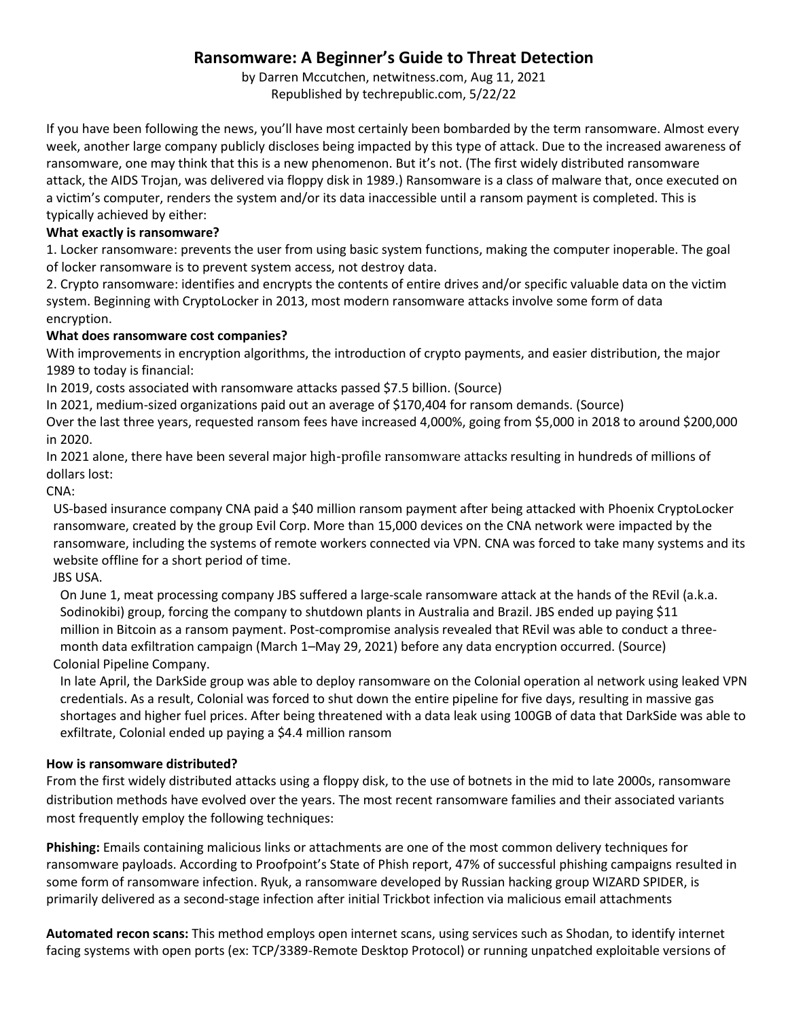# **Ransomware: A Beginner's Guide to Threat Detection**

by Darren Mccutchen, netwitness.com, Aug 11, 2021 Republished by techrepublic.com, 5/22/22

If you have been following the news, you'll have most certainly been bombarded by the term ransomware. Almost every week, another large company publicly discloses being impacted by this type of attack. Due to the increased awareness of ransomware, one may think that this is a new phenomenon. But it's not. (The first widely distributed ransomware attack, the AIDS Trojan, was delivered via floppy disk in 1989.) Ransomware is a class of malware that, once executed on a victim's computer, renders the system and/or its data inaccessible until a ransom payment is completed. This is typically achieved by either:

### **What exactly is ransomware?**

1. Locker ransomware: prevents the user from using basic system functions, making the computer inoperable. The goal of locker ransomware is to prevent system access, not destroy data.

2. Crypto ransomware: identifies and encrypts the contents of entire drives and/or specific valuable data on the victim system. Beginning with CryptoLocker in 2013, most modern ransomware attacks involve some form of data encryption.

### What does ransomware cost companies?

With improvements in encryption algorithms, the introduction of crypto payments, and easier distribution, the major 1989 to today is financial:

In 2019, costs associated with ransomware attacks passed \$7.5 billion. (Source)

In 2021, medium-sized organizations paid out an average of \$170,404 for ransom demands. (Source)

Over the last three years, requested ransom fees have increased 4,000%, going from \$5,000 in 2018 to around \$200,000 in 2020.

In 2021 alone, there have been several major high-profile ransomware attacks resulting in hundreds of millions of dollars lost:

CNA:

US-based insurance company CNA paid a \$40 million ransom payment after being attacked with Phoenix CryptoLocker ransomware, created by the group Evil Corp. More than 15,000 devices on the CNA network were impacted by the ransomware, including the systems of remote workers connected via VPN. CNA was forced to take many systems and its website offline for a short period of time.

JBS USA.

On June 1, meat processing company JBS suffered a large-scale ransomware attack at the hands of the REvil (a.k.a. Sodinokibi) group, forcing the company to shutdown plants in Australia and Brazil. JBS ended up paying \$11 million in Bitcoin as a ransom payment. Post-compromise analysis revealed that REvil was able to conduct a threemonth data exfiltration campaign (March 1–May 29, 2021) before any data encryption occurred. (Source) Colonial Pipeline Company.

In late April, the DarkSide group was able to deploy ransomware on the Colonial operation al network using leaked VPN credentials. As a result, Colonial was forced to shut down the entire pipeline for five days, resulting in massive gas shortages and higher fuel prices. After being threatened with a data leak using 100GB of data that DarkSide was able to exfiltrate, Colonial ended up paying a \$4.4 million ransom

### **How is ransomware distributed?**

From the first widely distributed attacks using a floppy disk, to the use of botnets in the mid to late 2000s, ransomware distribution methods have evolved over the years. The most recent ransomware families and their associated variants most frequently employ the following techniques:

**Phishing:** Emails containing malicious links or attachments are one of the most common delivery techniques for ransomware payloads. According to Proofpoint's State of Phish report, 47% of successful phishing campaigns resulted in some form of ransomware infection. Ryuk, a ransomware developed by Russian hacking group WIZARD SPIDER, is primarily delivered as a second-stage infection after initial Trickbot infection via malicious email attachments

**Automated recon scans:** This method employs open internet scans, using services such as Shodan, to identify internet facing systems with open ports (ex: TCP/3389-Remote Desktop Protocol) or running unpatched exploitable versions of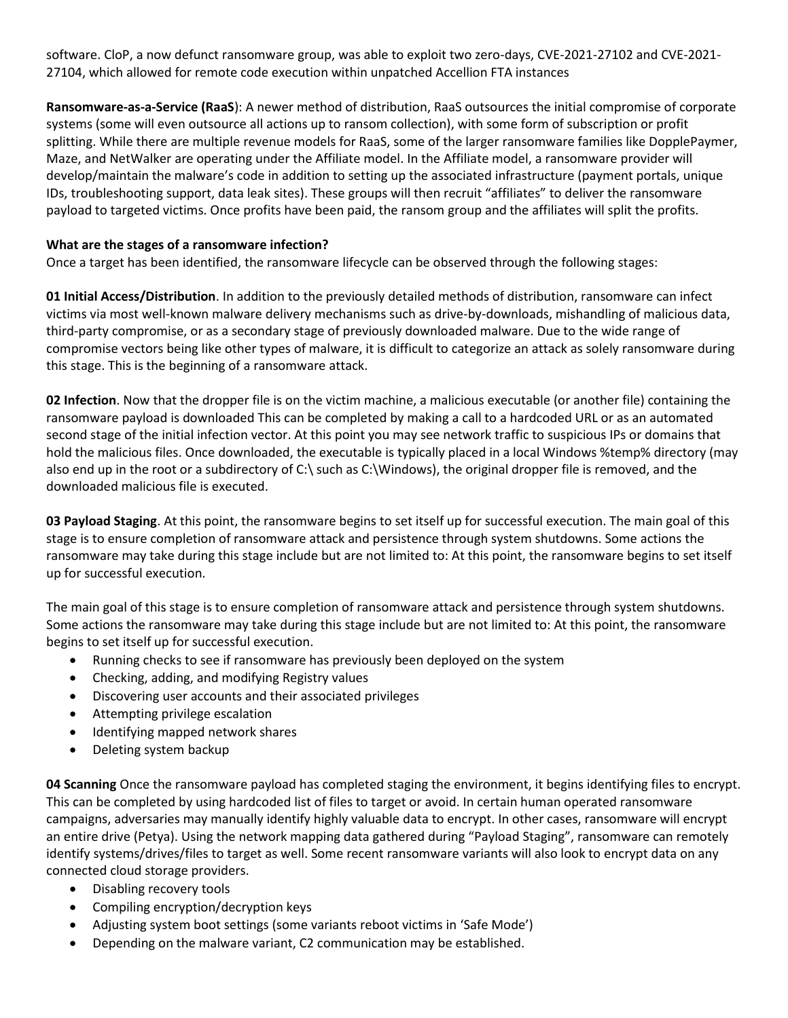software. CloP, a now defunct ransomware group, was able to exploit two zero-days, CVE-2021-27102 and CVE-2021- 27104, which allowed for remote code execution within unpatched Accellion FTA instances

**Ransomware-as-a-Service (RaaS**): A newer method of distribution, RaaS outsources the initial compromise of corporate systems (some will even outsource all actions up to ransom collection), with some form of subscription or profit splitting. While there are multiple revenue models for RaaS, some of the larger ransomware families like DopplePaymer, Maze, and NetWalker are operating under the Affiliate model. In the Affiliate model, a ransomware provider will develop/maintain the malware's code in addition to setting up the associated infrastructure (payment portals, unique IDs, troubleshooting support, data leak sites). These groups will then recruit "affiliates" to deliver the ransomware payload to targeted victims. Once profits have been paid, the ransom group and the affiliates will split the profits.

#### **What are the stages of a ransomware infection?**

Once a target has been identified, the ransomware lifecycle can be observed through the following stages:

**01 Initial Access/Distribution**. In addition to the previously detailed methods of distribution, ransomware can infect victims via most well-known malware delivery mechanisms such as drive-by-downloads, mishandling of malicious data, third-party compromise, or as a secondary stage of previously downloaded malware. Due to the wide range of compromise vectors being like other types of malware, it is difficult to categorize an attack as solely ransomware during this stage. This is the beginning of a ransomware attack.

**02 Infection**. Now that the dropper file is on the victim machine, a malicious executable (or another file) containing the ransomware payload is downloaded This can be completed by making a call to a hardcoded URL or as an automated second stage of the initial infection vector. At this point you may see network traffic to suspicious IPs or domains that hold the malicious files. Once downloaded, the executable is typically placed in a local Windows %temp% directory (may also end up in the root or a subdirectory of C:\ such as C:\Windows), the original dropper file is removed, and the downloaded malicious file is executed.

**03 Payload Staging**. At this point, the ransomware begins to set itself up for successful execution. The main goal of this stage is to ensure completion of ransomware attack and persistence through system shutdowns. Some actions the ransomware may take during this stage include but are not limited to: At this point, the ransomware begins to set itself up for successful execution.

The main goal of this stage is to ensure completion of ransomware attack and persistence through system shutdowns. Some actions the ransomware may take during this stage include but are not limited to: At this point, the ransomware begins to set itself up for successful execution.

- Running checks to see if ransomware has previously been deployed on the system
- Checking, adding, and modifying Registry values
- Discovering user accounts and their associated privileges
- Attempting privilege escalation
- Identifying mapped network shares
- Deleting system backup

**04 Scanning** Once the ransomware payload has completed staging the environment, it begins identifying files to encrypt. This can be completed by using hardcoded list of files to target or avoid. In certain human operated ransomware campaigns, adversaries may manually identify highly valuable data to encrypt. In other cases, ransomware will encrypt an entire drive (Petya). Using the network mapping data gathered during "Payload Staging", ransomware can remotely identify systems/drives/files to target as well. Some recent ransomware variants will also look to encrypt data on any connected cloud storage providers.

- Disabling recovery tools
- Compiling encryption/decryption keys
- Adjusting system boot settings (some variants reboot victims in 'Safe Mode')
- Depending on the malware variant, C2 communication may be established.